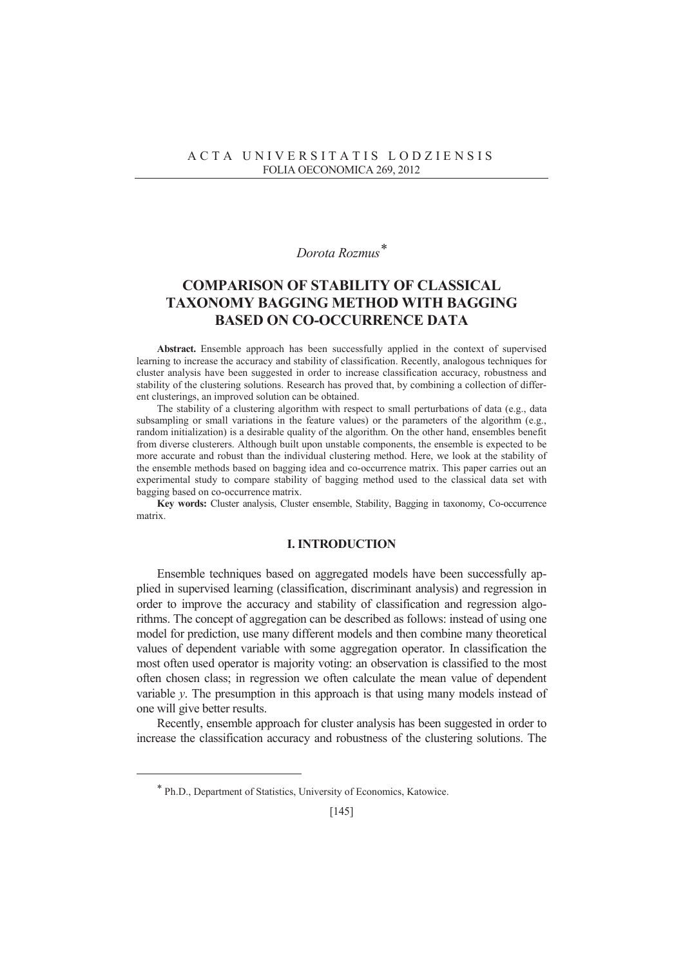## *Dorota Rozmus\**

# **COMPARISON OF STABILITY OF CLASSICAL TAXONOMY BAGGING METHOD WITH BAGGING BASED ON CO-OCCURRENCE DATA**

**Abstract.** Ensemble approach has been successfully applied in the context of supervised learning to increase the accuracy and stability of classification. Recently, analogous techniques for cluster analysis have been suggested in order to increase classification accuracy, robustness and stability of the clustering solutions. Research has proved that, by combining a collection of different clusterings, an improved solution can be obtained.

The stability of a clustering algorithm with respect to small perturbations of data (e.g., data subsampling or small variations in the feature values) or the parameters of the algorithm (e.g., random initialization) is a desirable quality of the algorithm. On the other hand, ensembles benefit from diverse clusterers. Although built upon unstable components, the ensemble is expected to be more accurate and robust than the individual clustering method. Here, we look at the stability of the ensemble methods based on bagging idea and co-occurrence matrix. This paper carries out an experimental study to compare stability of bagging method used to the classical data set with bagging based on co-occurrence matrix.

**Key words:** Cluster analysis, Cluster ensemble, Stability, Bagging in taxonomy, Co-occurrence matrix.

#### **I. INTRODUCTION**

Ensemble techniques based on aggregated models have been successfully applied in supervised learning (classification, discriminant analysis) and regression in order to improve the accuracy and stability of classification and regression algorithms. The concept of aggregation can be described as follows: instead of using one model for prediction, use many different models and then combine many theoretical values of dependent variable with some aggregation operator. In classification the most often used operator is majority voting: an observation is classified to the most often chosen class; in regression we often calculate the mean value of dependent variable *y*. The presumption in this approach is that using many models instead of one will give better results.

Recently, ensemble approach for cluster analysis has been suggested in order to increase the classification accuracy and robustness of the clustering solutions. The

 $\overline{a}$ 

<sup>\*</sup> Ph.D., Department of Statistics, University of Economics, Katowice.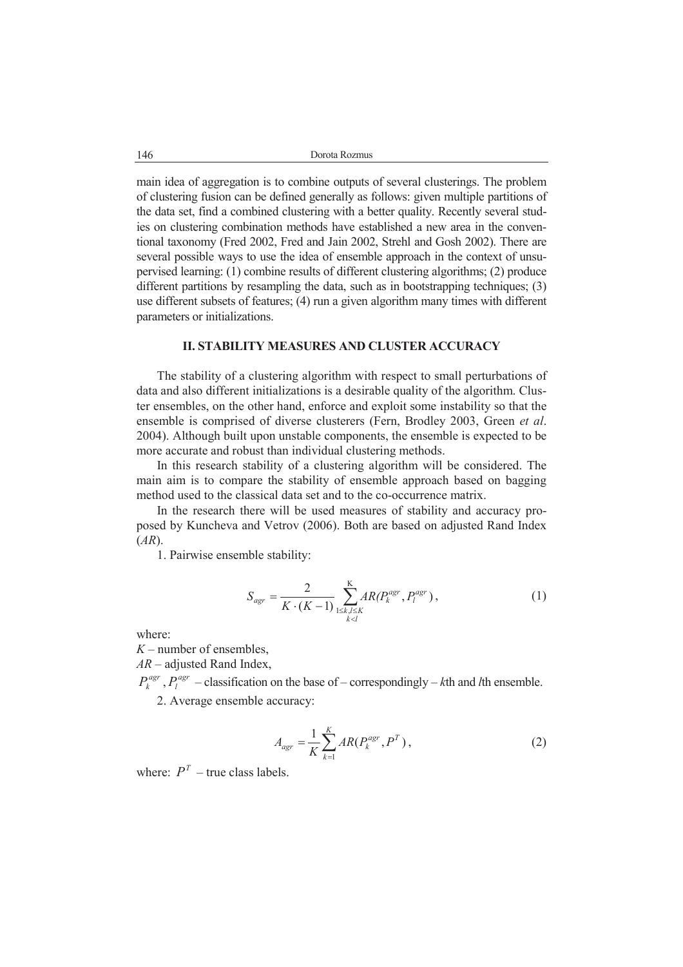146 Dorota Rozmus

main idea of aggregation is to combine outputs of several clusterings. The problem of clustering fusion can be defined generally as follows: given multiple partitions of the data set, find a combined clustering with a better quality. Recently several studies on clustering combination methods have established a new area in the conventional taxonomy (Fred 2002, Fred and Jain 2002, Strehl and Gosh 2002). There are several possible ways to use the idea of ensemble approach in the context of unsupervised learning: (1) combine results of different clustering algorithms; (2) produce different partitions by resampling the data, such as in bootstrapping techniques; (3) use different subsets of features; (4) run a given algorithm many times with different parameters or initializations.

### **II. STABILITY MEASURES AND CLUSTER ACCURACY**

The stability of a clustering algorithm with respect to small perturbations of data and also different initializations is a desirable quality of the algorithm. Cluster ensembles, on the other hand, enforce and exploit some instability so that the ensemble is comprised of diverse clusterers (Fern, Brodley 2003, Green *et al*. 2004). Although built upon unstable components, the ensemble is expected to be more accurate and robust than individual clustering methods.

In this research stability of a clustering algorithm will be considered. The main aim is to compare the stability of ensemble approach based on bagging method used to the classical data set and to the co-occurrence matrix.

In the research there will be used measures of stability and accuracy proposed by Kuncheva and Vetrov (2006). Both are based on adjusted Rand Index (*AR*).

1. Pairwise ensemble stability:

$$
S_{agr} = \frac{2}{K \cdot (K-1)} \sum_{\substack{1 \le k,l \le K \\ k < l}}^{K} AR(P_k^{agr}, P_l^{agr}), \tag{1}
$$

where:

*K* – number of ensembles,

*AR* – adjusted Rand Index,

 $P_k^{agr}$ ,  $P_l^{agr}$  – classification on the base of – correspondingly – *k*th and *l*th ensemble. 2. Average ensemble accuracy:

$$
A_{agr} = \frac{1}{K} \sum_{k=1}^{K} AR(P_k^{agr}, P^T), \qquad (2)
$$

where:  $P^T$  – true class labels.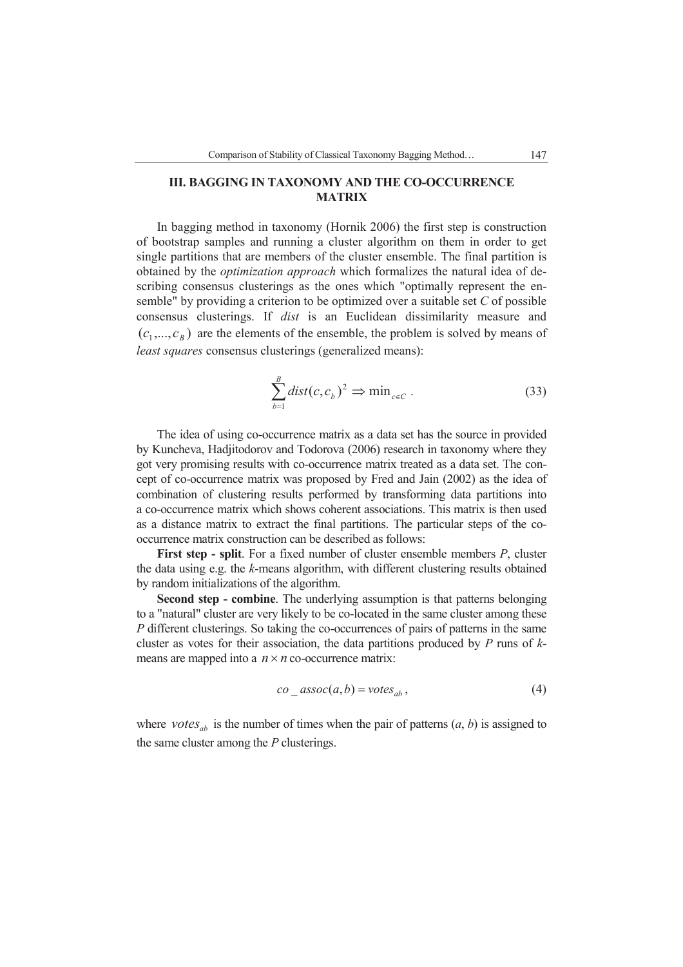### **III. BAGGING IN TAXONOMY AND THE CO-OCCURRENCE MATRIX**

In bagging method in taxonomy (Hornik 2006) the first step is construction of bootstrap samples and running a cluster algorithm on them in order to get single partitions that are members of the cluster ensemble. The final partition is obtained by the *optimization approach* which formalizes the natural idea of describing consensus clusterings as the ones which "optimally represent the ensemble" by providing a criterion to be optimized over a suitable set *C* of possible consensus clusterings. If *dist* is an Euclidean dissimilarity measure and  $(c_1, ..., c_B)$  are the elements of the ensemble, the problem is solved by means of *least squares* consensus clusterings (generalized means):

$$
\sum_{b=1}^{B} dist(c, c_b)^2 \Rightarrow \min_{c \in C} .
$$
 (33)

The idea of using co-occurrence matrix as a data set has the source in provided by Kuncheva, Hadjitodorov and Todorova (2006) research in taxonomy where they got very promising results with co-occurrence matrix treated as a data set. The concept of co-occurrence matrix was proposed by Fred and Jain (2002) as the idea of combination of clustering results performed by transforming data partitions into a co-occurrence matrix which shows coherent associations. This matrix is then used as a distance matrix to extract the final partitions. The particular steps of the cooccurrence matrix construction can be described as follows:

**First step - split**. For a fixed number of cluster ensemble members *P*, cluster the data using e.g. the *k*-means algorithm, with different clustering results obtained by random initializations of the algorithm.

**Second step - combine**. The underlying assumption is that patterns belonging to a "natural" cluster are very likely to be co-located in the same cluster among these *P* different clusterings. So taking the co-occurrences of pairs of patterns in the same cluster as votes for their association, the data partitions produced by *P* runs of *k*means are mapped into a  $n \times n$  co-occurrence matrix:

$$
co\_assoc(a,b) = votes_{ab}, \qquad (4)
$$

where *votes*<sub>ab</sub> is the number of times when the pair of patterns  $(a, b)$  is assigned to the same cluster among the *P* clusterings.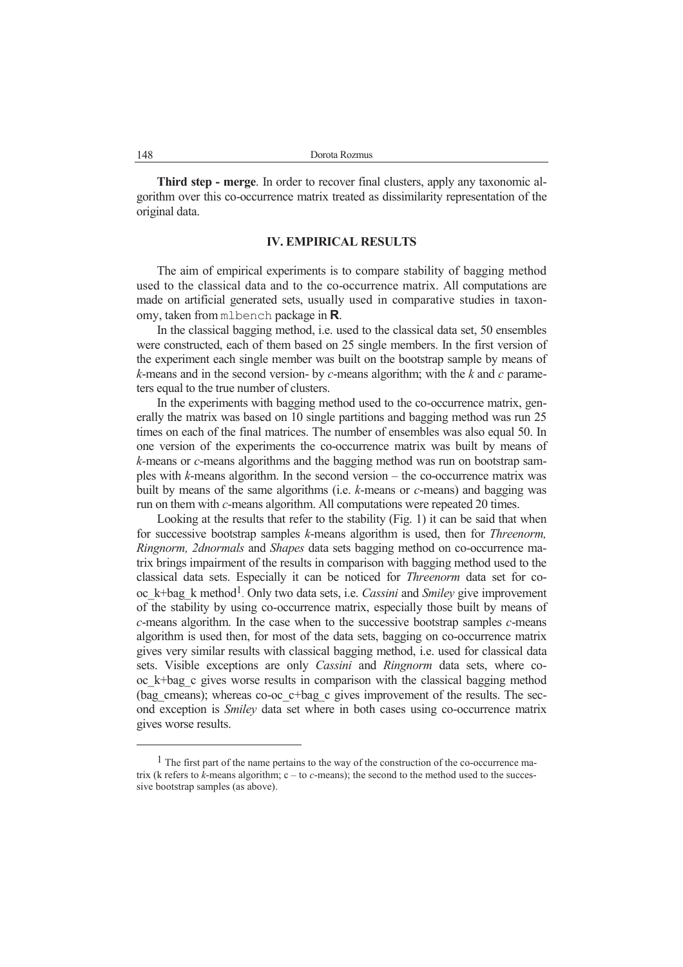**Third step - merge**. In order to recover final clusters, apply any taxonomic algorithm over this co-occurrence matrix treated as dissimilarity representation of the original data.

#### **IV. EMPIRICAL RESULTS**

The aim of empirical experiments is to compare stability of bagging method used to the classical data and to the co-occurrence matrix. All computations are made on artificial generated sets, usually used in comparative studies in taxonomy, taken from mlbench package in **R**.

In the classical bagging method, i.e. used to the classical data set, 50 ensembles were constructed, each of them based on 25 single members. In the first version of the experiment each single member was built on the bootstrap sample by means of *k*-means and in the second version- by *c*-means algorithm; with the *k* and *c* parameters equal to the true number of clusters.

In the experiments with bagging method used to the co-occurrence matrix, generally the matrix was based on 10 single partitions and bagging method was run 25 times on each of the final matrices. The number of ensembles was also equal 50. In one version of the experiments the co-occurrence matrix was built by means of *k-*means or *c*-means algorithms and the bagging method was run on bootstrap samples with *k*-means algorithm. In the second version – the co-occurrence matrix was built by means of the same algorithms (i.e. *k*-means or *c*-means) and bagging was run on them with *c*-means algorithm. All computations were repeated 20 times.

Looking at the results that refer to the stability (Fig. 1) it can be said that when for successive bootstrap samples *k*-means algorithm is used, then for *Threenorm, Ringnorm, 2dnormals* and *Shapes* data sets bagging method on co-occurrence matrix brings impairment of the results in comparison with bagging method used to the classical data sets. Especially it can be noticed for *Threenorm* data set for cooc\_k+bag\_k method1. Only two data sets, i.e. *Cassini* and *Smiley* give improvement of the stability by using co-occurrence matrix, especially those built by means of *c*-means algorithm. In the case when to the successive bootstrap samples *c*-means algorithm is used then, for most of the data sets, bagging on co-occurrence matrix gives very similar results with classical bagging method, i.e. used for classical data sets. Visible exceptions are only *Cassini* and *Ringnorm* data sets, where cooc\_k+bag\_c gives worse results in comparison with the classical bagging method (bag\_cmeans); whereas co-oc\_c+bag\_c gives improvement of the results. The second exception is *Smiley* data set where in both cases using co-occurrence matrix gives worse results.

 $\overline{a}$ 

 $<sup>1</sup>$  The first part of the name pertains to the way of the construction of the co-occurrence ma-</sup> trix (k refers to  $\vec{k}$ -means algorithm; c – to *c*-means); the second to the method used to the successive bootstrap samples (as above).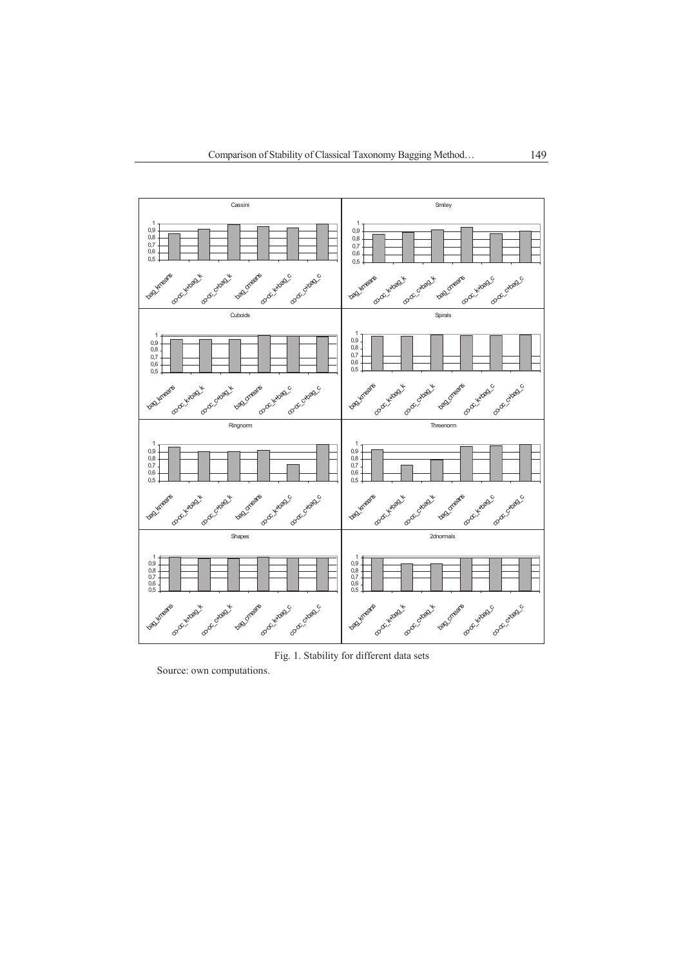

Fig. 1. Stability for different data sets

Source: own computations.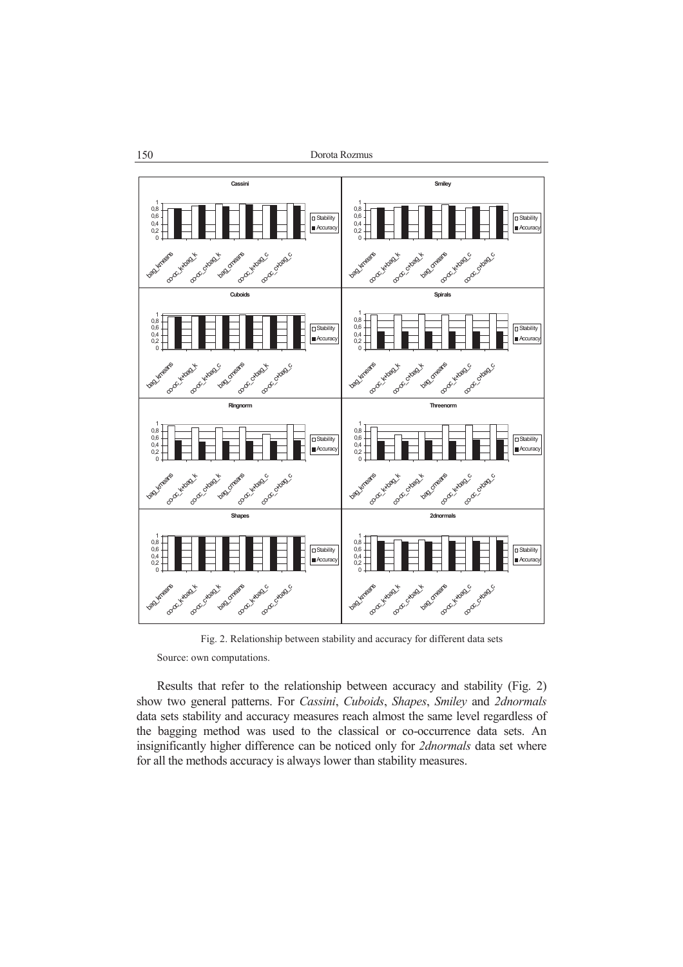

Fig. 2. Relationship between stability and accuracy for different data sets

Source: own computations.

Results that refer to the relationship between accuracy and stability (Fig. 2) show two general patterns. For *Cassini*, *Cuboids*, *Shapes*, *Smiley* and *2dnormals* data sets stability and accuracy measures reach almost the same level regardless of the bagging method was used to the classical or co-occurrence data sets. An insignificantly higher difference can be noticed only for *2dnormals* data set where for all the methods accuracy is always lower than stability measures.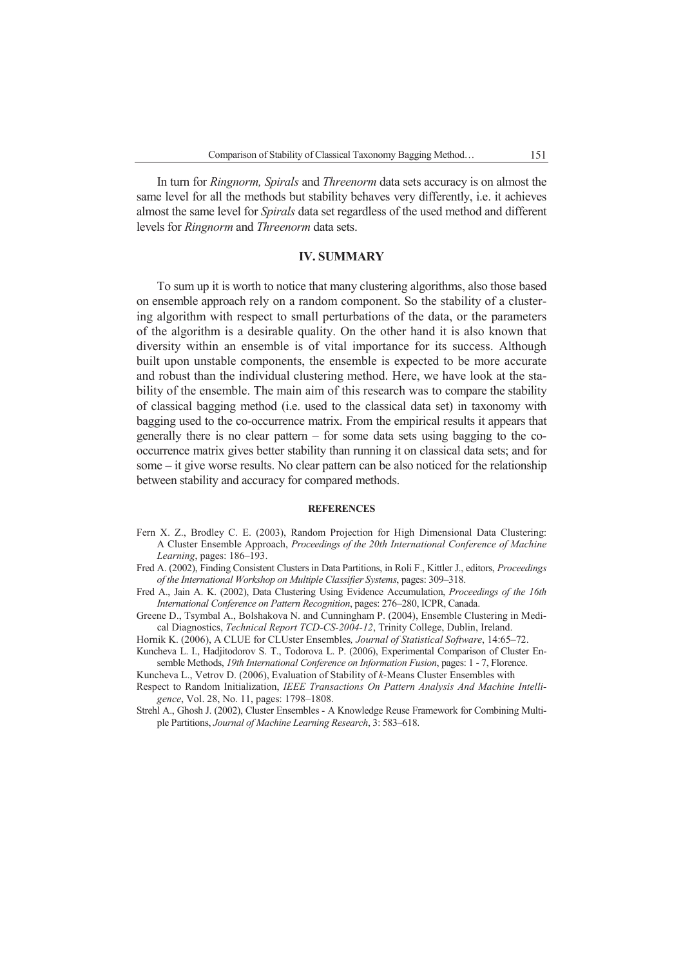In turn for *Ringnorm, Spirals* and *Threenorm* data sets accuracy is on almost the same level for all the methods but stability behaves very differently, i.e. it achieves almost the same level for *Spirals* data set regardless of the used method and different levels for *Ringnorm* and *Threenorm* data sets.

#### **IV. SUMMARY**

To sum up it is worth to notice that many clustering algorithms, also those based on ensemble approach rely on a random component. So the stability of a clustering algorithm with respect to small perturbations of the data, or the parameters of the algorithm is a desirable quality. On the other hand it is also known that diversity within an ensemble is of vital importance for its success. Although built upon unstable components, the ensemble is expected to be more accurate and robust than the individual clustering method. Here, we have look at the stability of the ensemble. The main aim of this research was to compare the stability of classical bagging method (i.e. used to the classical data set) in taxonomy with bagging used to the co-occurrence matrix. From the empirical results it appears that generally there is no clear pattern – for some data sets using bagging to the cooccurrence matrix gives better stability than running it on classical data sets; and for some – it give worse results. No clear pattern can be also noticed for the relationship between stability and accuracy for compared methods.

#### **REFERENCES**

- Fern X. Z., Brodley C. E. (2003), Random Projection for High Dimensional Data Clustering: A Cluster Ensemble Approach, *Proceedings of the 20th International Conference of Machine Learning*, pages: 186–193.
- Fred A. (2002), Finding Consistent Clusters in Data Partitions, in Roli F., Kittler J., editors, *Proceedings of the International Workshop on Multiple Classifier Systems*, pages: 309–318.
- Fred A., Jain A. K. (2002), Data Clustering Using Evidence Accumulation, *Proceedings of the 16th International Conference on Pattern Recognition*, pages: 276–280, ICPR, Canada.
- Greene D., Tsymbal A., Bolshakova N. and Cunningham P. (2004), Ensemble Clustering in Medical Diagnostics, *Technical Report TCD-CS-2004-12*, Trinity College, Dublin, Ireland.
- Hornik K. (2006), A CLUE for CLUster Ensembles*, Journal of Statistical Software*, 14:65–72.
- Kuncheva L. I., Hadjitodorov S. T., Todorova L. P. (2006), Experimental Comparison of Cluster Ensemble Methods, *19th International Conference on Information Fusion*, pages: 1 - 7, Florence.

Kuncheva L., Vetrov D. (2006), Evaluation of Stability of *k*-Means Cluster Ensembles with

- Respect to Random Initialization, *IEEE Transactions On Pattern Analysis And Machine Intelligence*, Vol. 28, No. 11, pages: 1798–1808.
- Strehl A., Ghosh J. (2002), Cluster Ensembles A Knowledge Reuse Framework for Combining Multiple Partitions, *Journal of Machine Learning Research*, 3: 583–618.